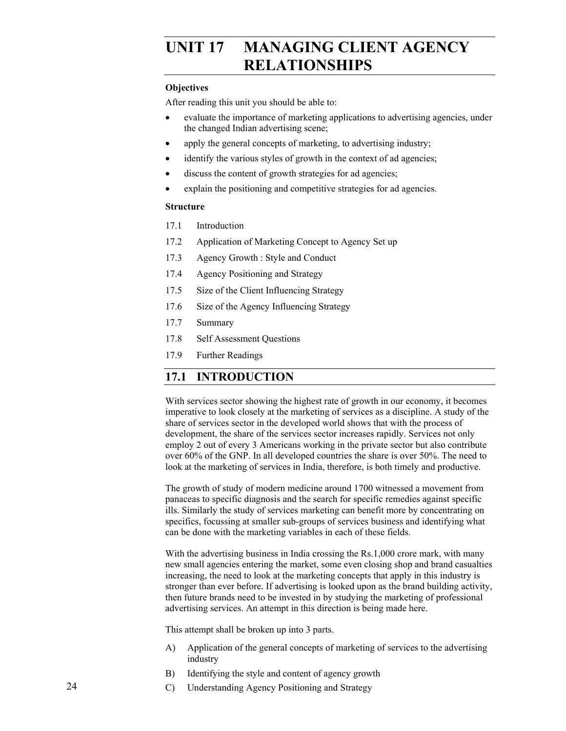# UNIT 17 MANAGING CLIENT AGENCY **RELATIONSHIPS**

### **Objectives**

After reading this unit you should be able to:

- evaluate the importance of marketing applications to advertising agencies, under the changed Indian advertising scene;
- apply the general concepts of marketing, to advertising industry;
- identify the various styles of growth in the context of ad agencies;
- discuss the content of growth strategies for ad agencies;
- explain the positioning and competitive strategies for ad agencies.

#### **Structure**

- 17.1 Introduction
- 17.2 Application of Marketing Concept to Agency Set up
- 17.3 Agency Growth : Style and Conduct
- 17.4 Agency Positioning and Strategy
- 17.5 Size of the Client Influencing Strategy
- 17.6 Size of the Agency Influencing Strategy
- 17.7 Summary
- 17.8 Self Assessment Questions
- 17.9 Further Readings

## **17.1 INTRODUCTION**

With services sector showing the highest rate of growth in our economy, it becomes imperative to look closely at the marketing of services as a discipline. A study of the share of services sector in the developed world shows that with the process of development, the share of the services sector increases rapidly. Services not only employ 2 out of every 3 Americans working in the private sector but also contribute over 60% of the GNP. In all developed countries the share is over 50%. The need to look at the marketing of services in India, therefore, is both timely and productive.

The growth of study of modern medicine around 1700 witnessed a movement from panaceas to specific diagnosis and the search for specific remedies against specific ills. Similarly the study of services marketing can benefit more by concentrating on specifics, focussing at smaller sub-groups of services business and identifying what can be done with the marketing variables in each of these fields.

With the advertising business in India crossing the Rs.1,000 crore mark, with many new small agencies entering the market, some even closing shop and brand casualties increasing, the need to look at the marketing concepts that apply in this industry is stronger than ever before. If advertising is looked upon as the brand building activity, then future brands need to be invested in by studying the marketing of professional advertising services. An attempt in this direction is being made here.

This attempt shall be broken up into 3 parts.

- A) Application of the general concepts of marketing of services to the advertising industry
- B) Identifying the style and content of agency growth
- C) Understanding Agency Positioning and Strategy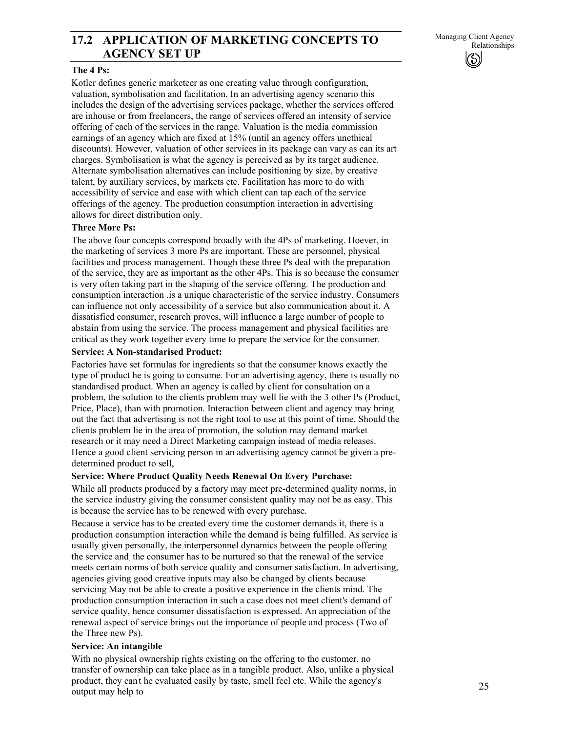## 17.2 APPLICATION OF MARKETING CONCEPTS TO<br>Relationships **AGENCY SET UP**

### **The 4 Ps:**

Kotler defines generic marketeer as one creating value through configuration, valuation, symbolisation and facilitation. In an advertising agency scenario this includes the design of the advertising services package, whether the services offered are inhouse or from freelancers, the range of services offered an intensity of service offering of each of the services in the range. Valuation is the media commission earnings of an agency which are fixed at 15% (until an agency offers unethical discounts). However, valuation of other services in its package can vary as can its art charges. Symbolisation is what the agency is perceived as by its target audience. Alternate symbolisation alternatives can include positioning by size, by creative talent, by auxiliary services, by markets etc. Facilitation has more to do with accessibility of service and ease with which client can tap each of the service offerings of the agency. The production consumption interaction in advertising allows for direct distribution only.

### **Three More Ps:**

The above four concepts correspond broadly with the 4Ps of marketing. Hoever, in the marketing of services 3 more Ps are important. These are personnel, physical facilities and process management. Though these three Ps deal with the preparation of the service, they are as important as the other 4Ps. This is so because the consumer is very often taking part in the shaping of the service offering. The production and consumption interaction .is a unique characteristic of the service industry. Consumers can influence not only accessibility of a service but also communication about it. A dissatisfied consumer, research proves, will influence a large number of people to abstain from using the service. The process management and physical facilities are critical as they work together every time to prepare the service for the consumer.

### **Service: A Non-standarised Product:**

Factories have set formulas for ingredients so that the consumer knows exactly the type of product he is going to consume. For an advertising agency, there is usually no standardised product. When an agency is called by client for consultation on a problem, the solution to the clients problem may well lie with the 3 other Ps (Product, Price, Place), than with promotion. Interaction between client and agency may bring out the fact that advertising is not the right tool to use at this point of time. Should the clients problem lie in the area of promotion, the solution may demand market research or it may need a Direct Marketing campaign instead of media releases. Hence a good client servicing person in an advertising agency cannot be given a predetermined product to sell,

### **Service: Where Product Quality Needs Renewal On Every Purchase:**

While all products produced by a factory may meet pre-determined quality norms, in the service industry giving the consumer consistent quality may not be as easy. This is because the service has to be renewed with every purchase.

Because a service has to be created every time the customer demands it, there is a production consumption interaction while the demand is being fulfilled. As service is usually given personally, the interpersonnel dynamics between the people offering the service and. the consumer has to be nurtured so that the renewal of the service meets certain norms of both service quality and consumer satisfaction. In advertising, agencies giving good creative inputs may also be changed by clients because servicing May not be able to create a positive experience in the clients mind. The production consumption interaction in such a case does not meet client's demand of service quality, hence consumer dissatisfaction is expressed. An appreciation of the renewal aspect of service brings out the importance of people and process (Two of the Three new Ps).

### **Service: An intangible**

With no physical ownership rights existing on the offering to the customer, no transfer of ownership can take place as in a tangible product. Also, unlike a physical product, they can't he evaluated easily by taste, smell feel etc. While the agency's output may help to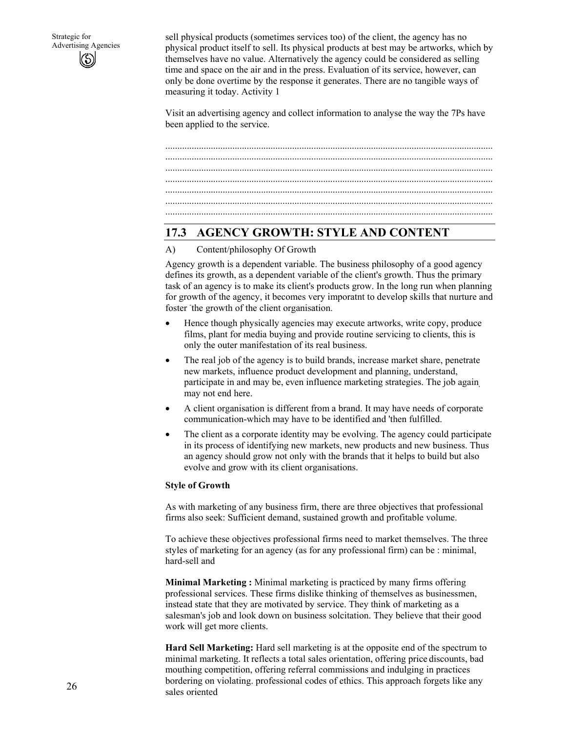sell physical products (sometimes services too) of the client, the agency has no physical product itself to sell. Its physical products at best may be artworks, which by themselves have no value. Alternatively the agency could be considered as selling time and space on the air and in the press. Evaluation of its service, however, can only be done overtime by the response it generates. There are no tangible ways of measuring it today. Activity 1

Visit an advertising agency and collect information to analyse the way the 7Ps have been applied to the service.

......................................................................................................................................... ......................................................................................................................................... ......................................................................................................................................... ......................................................................................................................................... ......................................................................................................................................... .........................................................................................................................................

## **17.3 AGENCY GROWTH: STYLE AND CONTENT**

### A) Content/philosophy Of Growth

Agency growth is a dependent variable. The business philosophy of a good agency defines its growth, as a dependent variable of the client's growth. Thus the primary task of an agency is to make its client's products grow. In the long run when planning for growth of the agency, it becomes very imporatnt to develop skills that nurture and foster the growth of the client organisation.

- Hence though physically agencies may execute artworks, write copy, produce films, plant for media buying and provide routine servicing to clients, this is only the outer manifestation of its real business.
- The real job of the agency is to build brands, increase market share, penetrate new markets, influence product development and planning, understand, participate in and may be, even influence marketing strategies. The job again, may not end here.
- A client organisation is different from a brand. It may have needs of corporate communication-which may have to be identified and 'then fulfilled.
- The client as a corporate identity may be evolving. The agency could participate in its process of identifying new markets, new products and new business. Thus an agency should grow not only with the brands that it helps to build but also evolve and grow with its client organisations.

### **Style of Growth**

As with marketing of any business firm, there are three objectives that professional firms also seek: Sufficient demand, sustained growth and profitable volume.

To achieve these objectives professional firms need to market themselves. The three styles of marketing for an agency (as for any professional firm) can be : minimal, hard-sell and

**Minimal Marketing :** Minimal marketing is practiced by many firms offering professional services. These firms dislike thinking of themselves as businessmen, instead state that they are motivated by service. They think of marketing as a salesman's job and look down on business solcitation. They believe that their good work will get more clients.

**Hard Sell Marketing:** Hard sell marketing is at the opposite end of the spectrum to minimal marketing. It reflects a total sales orientation, offering price discounts, bad mouthing competition, offering referral commissions and indulging in practices bordering on violating. professional codes of ethics. This approach forgets like any sales oriented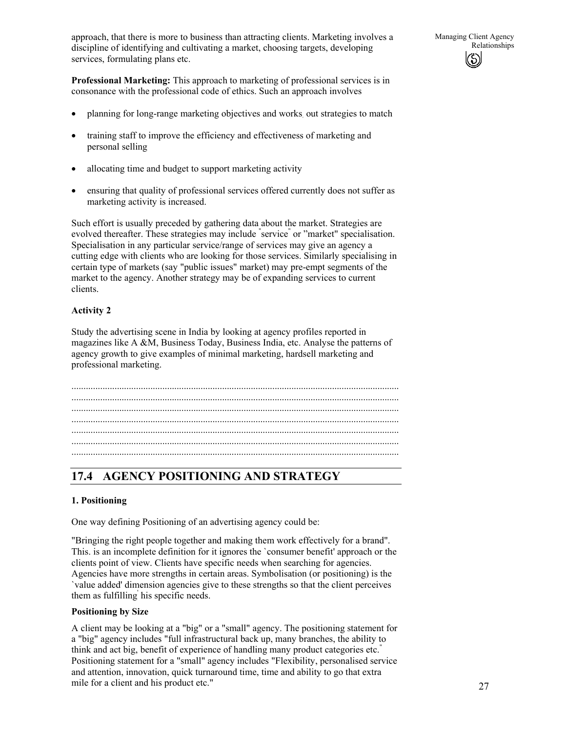**Professional Marketing:** This approach to marketing of professional services is in consonance with the professional code of ethics. Such an approach involves

- planning for long-range marketing objectives and works out strategies to match
- training staff to improve the efficiency and effectiveness of marketing and personal selling
- allocating time and budget to support marketing activity
- ensuring that quality of professional services offered currently does not suffer as marketing activity is increased.

Such effort is usually preceded by gathering data about the market. Strategies are evolved thereafter. These strategies may include "service" or "market" specialisation. Specialisation in any particular service/range of services may give an agency a cutting edge with clients who are looking for those services. Similarly specialising in certain type of markets (say "public issues" market) may pre-empt segments of the market to the agency. Another strategy may be of expanding services to current clients.

## **Activity 2**

Study the advertising scene in India by looking at agency profiles reported in magazines like A &M, Business Today, Business India, etc. Analyse the patterns of agency growth to give examples of minimal marketing, hardsell marketing and professional marketing.

......................................................................................................................................... ......................................................................................................................................... ......................................................................................................................................... ......................................................................................................................................... ......................................................................................................................................... .........................................................................................................................................

## **17.4 AGENCY POSITIONING AND STRATEGY**

## **1. Positioning**

One way defining Positioning of an advertising agency could be:

"Bringing the right people together and making them work effectively for a brand". This. is an incomplete definition for it ignores the `consumer benefit' approach or the clients point of view. Clients have specific needs when searching for agencies. Agencies have more strengths in certain areas. Symbolisation (or positioning) is the `value added' dimension agencies give to these strengths so that the client perceives them as fulfilling' his specific needs.

### **Positioning by Size**

A client may be looking at a "big" or a "small" agency. The positioning statement for a "big" agency includes "full infrastructural back up, many branches, the ability to think and act big, benefit of experience of handling many product categories etc." Positioning statement for a "small" agency includes "Flexibility, personalised service and attention, innovation, quick turnaround time, time and ability to go that extra mile for a client and his product etc."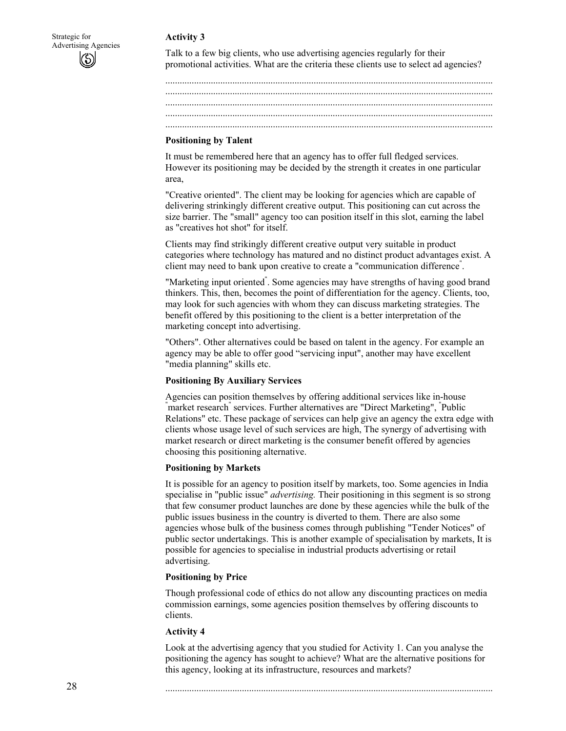### **Activity 3**



Talk to a few big clients, who use advertising agencies regularly for their promotional activities. What are the criteria these clients use to select ad agencies?

......................................................................................................................................... ......................................................................................................................................... ......................................................................................................................................... ......................................................................................................................................... .........................................................................................................................................

### **Positioning by Talent**

It must be remembered here that an agency has to offer full fledged services. However its positioning may be decided by the strength it creates in one particular area,

"Creative oriented". The client may be looking for agencies which are capable of delivering strinkingly different creative output. This positioning can cut across the size barrier. The "small" agency too can position itself in this slot, earning the label as "creatives hot shot" for itself.

Clients may find strikingly different creative output very suitable in product categories where technology has matured and no distinct product advantages exist. A client may need to bank upon creative to create a "communication difference" .

"Marketing input oriented" . Some agencies may have strengths of having good brand thinkers. This, then, becomes the point of differentiation for the agency. Clients, too, may look for such agencies with whom they can discuss marketing strategies. The benefit offered by this positioning to the client is a better interpretation of the marketing concept into advertising.

"Others". Other alternatives could be based on talent in the agency. For example an agency may be able to offer good "servicing input", another may have excellent "media planning" skills etc.

## **Positioning By Auxiliary Services**

Agencies can position themselves by offering additional services like in-house "market research" services. Further alternatives are "Direct Marketing", "Public Relations" etc. These package of services can help give an agency the extra edge with clients whose usage level of such services are high, The synergy of advertising with market research or direct marketing is the consumer benefit offered by agencies choosing this positioning alternative.

### **Positioning by Markets**

It is possible for an agency to position itself by markets, too. Some agencies in India specialise in "public issue" *advertising.* Their positioning in this segment is so strong that few consumer product launches are done by these agencies while the bulk of the public issues business in the country is diverted to them. There are also some agencies whose bulk of the business comes through publishing "Tender Notices" of public sector undertakings. This is another example of specialisation by markets, It is possible for agencies to specialise in industrial products advertising or retail advertising.

## **Positioning by Price**

Though professional code of ethics do not allow any discounting practices on media commission earnings, some agencies position themselves by offering discounts to clients.

## **Activity 4**

Look at the advertising agency that you studied for Activity 1. Can you analyse the positioning the agency has sought to achieve? What are the alternative positions for this agency, looking at its infrastructure, resources and markets?

.........................................................................................................................................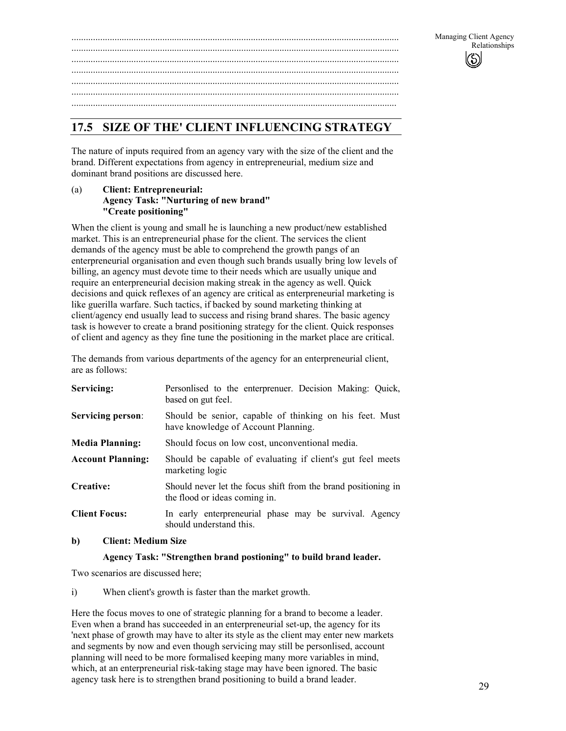......................................................................................................................................... ......................................................................................................................................... ......................................................................................................................................... ......................................................................................................................................... ........................................................................................................................................

## **17.5 SIZE OF THE' CLIENT INFLUENCING STRATEGY**

The nature of inputs required from an agency vary with the size of the client and the brand. Different expectations from agency in entrepreneurial, medium size and dominant brand positions are discussed here.

### (a) **Client: Entrepreneurial: Agency Task: "Nurturing of new brand" "Create positioning"**

When the client is young and small he is launching a new product/new established market. This is an entrepreneurial phase for the client. The services the client demands of the agency must be able to comprehend the growth pangs of an enterpreneurial organisation and even though such brands usually bring low levels of billing, an agency must devote time to their needs which are usually unique and require an enterpreneurial decision making streak in the agency as well. Quick decisions and quick reflexes of an agency are critical as enterpreneurial marketing is like guerilla warfare. Such tactics, if backed by sound marketing thinking at client/agency end usually lead to success and rising brand shares. The basic agency task is however to create a brand positioning strategy for the client. Quick responses of client and agency as they fine tune the positioning in the market place are critical.

The demands from various departments of the agency for an enterpreneurial client, are as follows:

| Servicing:               | Personlised to the enterprenuer. Decision Making: Quick,<br>based on gut feel.                  |  |  |  |  |  |  |  |
|--------------------------|-------------------------------------------------------------------------------------------------|--|--|--|--|--|--|--|
| <b>Servicing person:</b> | Should be senior, capable of thinking on his feet. Must<br>have knowledge of Account Planning.  |  |  |  |  |  |  |  |
| <b>Media Planning:</b>   | Should focus on low cost, unconventional media.                                                 |  |  |  |  |  |  |  |
| <b>Account Planning:</b> | Should be capable of evaluating if client's gut feel meets<br>marketing logic                   |  |  |  |  |  |  |  |
| Creative:                | Should never let the focus shift from the brand positioning in<br>the flood or ideas coming in. |  |  |  |  |  |  |  |
| <b>Client Focus:</b>     | In early enterpreneurial phase may be survival. Agency<br>should understand this.               |  |  |  |  |  |  |  |

## **b) Client: Medium Size**

## **Agency Task: "Strengthen brand postioning" to build brand leader.**

Two scenarios are discussed here;

i) When client's growth is faster than the market growth.

Here the focus moves to one of strategic planning for a brand to become a leader. Even when a brand has succeeded in an enterpreneurial set-up, the agency for its 'next phase of growth may have to alter its style as the client may enter new markets and segments by now and even though servicing may still be personlised, account planning will need to be more formalised keeping many more variables in mind, which, at an enterpreneurial risk-taking stage may have been ignored. The basic agency task here is to strengthen brand positioning to build a brand leader.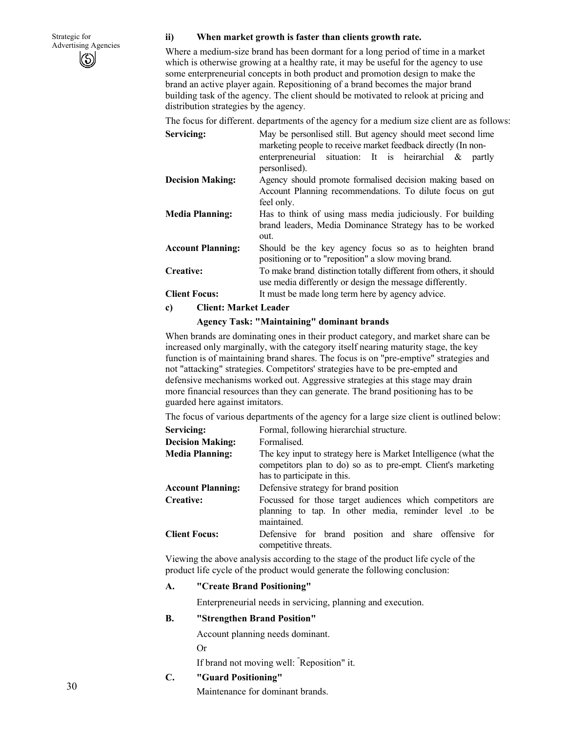### **ii) When market growth is faster than clients growth rate.**

Where a medium-size brand has been dormant for a long period of time in a market which is otherwise growing at a healthy rate, it may be useful for the agency to use some enterpreneurial concepts in both product and promotion design to make the brand an active player again. Repositioning of a brand becomes the major brand building task of the agency. The client should be motivated to relook at pricing and distribution strategies by the agency*.* 

The focus for different. departments of the agency for a medium size client are as follows:

| Servicing:               | May be personlised still. But agency should meet second lime<br>marketing people to receive market feedback directly (In non-<br>enterpreneurial situation: It is heirarchial &<br>partly<br>personlised). |  |  |  |  |  |  |  |  |  |  |
|--------------------------|------------------------------------------------------------------------------------------------------------------------------------------------------------------------------------------------------------|--|--|--|--|--|--|--|--|--|--|
| <b>Decision Making:</b>  | Agency should promote formalised decision making based on<br>Account Planning recommendations. To dilute focus on gut<br>feel only.                                                                        |  |  |  |  |  |  |  |  |  |  |
| <b>Media Planning:</b>   | Has to think of using mass media judiciously. For building<br>brand leaders, Media Dominance Strategy has to be worked<br>out.                                                                             |  |  |  |  |  |  |  |  |  |  |
| <b>Account Planning:</b> | Should be the key agency focus so as to heighten brand<br>positioning or to "reposition" a slow moving brand.                                                                                              |  |  |  |  |  |  |  |  |  |  |
| Creative:                | To make brand distinction totally different from others, it should<br>use media differently or design the message differently.                                                                             |  |  |  |  |  |  |  |  |  |  |
| <b>Client Focus:</b>     | It must be made long term here by agency advice.                                                                                                                                                           |  |  |  |  |  |  |  |  |  |  |

#### **c) Client: Market Leader**

### **Agency Task: "Maintaining" dominant brands**

When brands are dominating ones in their product category, and market share can be increased only marginally, with the category itself nearing maturity stage, the key function is of maintaining brand shares. The focus is on "pre-emptive" strategies and not "attacking" strategies. Competitors' strategies have to be pre-empted and defensive mechanisms worked out. Aggressive strategies at this stage may drain more financial resources than they can generate. The brand positioning has to be guarded here against imitators.

The focus of various departments of the agency for a large size client is outlined below:

| Servicing:               | Formal, following hierarchial structure.                                                                                          |  |  |  |  |  |  |  |
|--------------------------|-----------------------------------------------------------------------------------------------------------------------------------|--|--|--|--|--|--|--|
| <b>Decision Making:</b>  | Formalised.                                                                                                                       |  |  |  |  |  |  |  |
| <b>Media Planning:</b>   | The key input to strategy here is Market Intelligence (what the<br>competitors plan to do) so as to pre-empt. Client's marketing  |  |  |  |  |  |  |  |
|                          | has to participate in this.                                                                                                       |  |  |  |  |  |  |  |
| <b>Account Planning:</b> | Defensive strategy for brand position                                                                                             |  |  |  |  |  |  |  |
| <b>Creative:</b>         | Focussed for those target audiences which competitors are<br>planning to tap. In other media, reminder level to be<br>maintained. |  |  |  |  |  |  |  |
| <b>Client Focus:</b>     | Defensive for brand position and share offensive for<br>competitive threats.                                                      |  |  |  |  |  |  |  |

Viewing the above analysis according to the stage of the product life cycle of the product life cycle of the product would generate the following conclusion:

#### **A. "Create Brand Positioning"**

Enterpreneurial needs in servicing, planning and execution.

#### **B. "Strengthen Brand Position"**

Account planning needs dominant.

Or

If brand not moving well: " Reposition" it.

## **C. "Guard Positioning"**

Maintenance for dominant brands.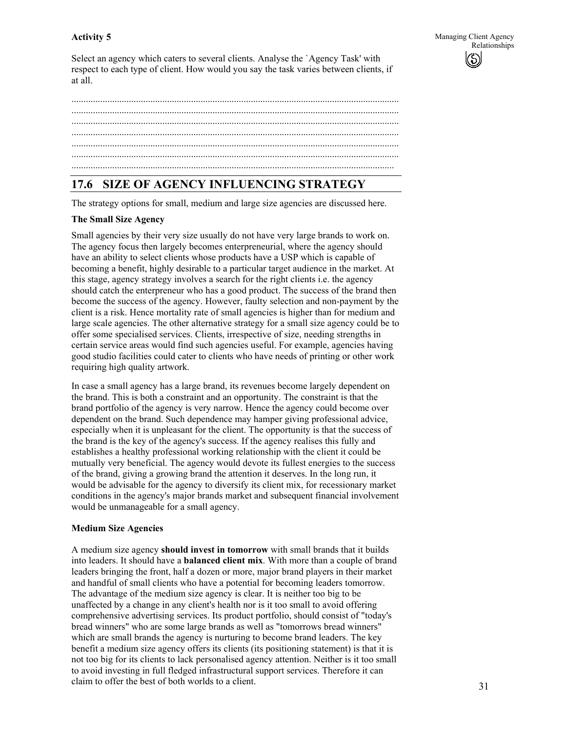Select an agency which caters to several clients. Analyse the `Agency Task' with respect to each type of client. How would you say the task varies between clients, if at all.

## **17.6 SIZE OF AGENCY INFLUENCING STRATEGY**

The strategy options for small, medium and large size agencies are discussed here.

### **The Small Size Agency**

Small agencies by their very size usually do not have very large brands to work on. The agency focus then largely becomes enterpreneurial, where the agency should have an ability to select clients whose products have a USP which is capable of becoming a benefit, highly desirable to a particular target audience in the market. At this stage, agency strategy involves a search for the right clients i.e. the agency should catch the enterpreneur who has a good product. The success of the brand then become the success of the agency. However, faulty selection and non-payment by the client is a risk. Hence mortality rate of small agencies is higher than for medium and large scale agencies. The other alternative strategy for a small size agency could be to offer some specialised services. Clients, irrespective of size, needing strengths in certain service areas would find such agencies useful. For example, agencies having good studio facilities could cater to clients who have needs of printing or other work requiring high quality artwork.

In case a small agency has a large brand, its revenues become largely dependent on the brand. This is both a constraint and an opportunity. The constraint is that the brand portfolio of the agency is very narrow. Hence the agency could become over dependent on the brand. Such dependence may hamper giving professional advice, especially when it is unpleasant for the client. The opportunity is that the success of the brand is the key of the agency's success. If the agency realises this fully and establishes a healthy professional working relationship with the client it could be mutually very beneficial. The agency would devote its fullest energies to the success of the brand, giving a growing brand the attention it deserves. In the long run, it would be advisable for the agency to diversify its client mix, for recessionary market conditions in the agency's major brands market and subsequent financial involvement would be unmanageable for a small agency.

#### **Medium Size Agencies**

A medium size agency **should invest in tomorrow** with small brands that it builds into leaders. It should have a **balanced client mix**. With more than a couple of brand leaders bringing the front, half a dozen or more, major brand players in their market and handful of small clients who have a potential for becoming leaders tomorrow. The advantage of the medium size agency is clear. It is neither too big to be unaffected by a change in any client's health nor is it too small to avoid offering comprehensive advertising services. Its product portfolio, should consist of "today's bread winners" who are some large brands as well as "tomorrows bread winners" which are small brands the agency is nurturing to become brand leaders. The key benefit a medium size agency offers its clients (its positioning statement) is that it is not too big for its clients to lack personalised agency attention. Neither is it too small to avoid investing in full fledged infrastructural support services. Therefore it can claim to offer the best of both worlds to a client.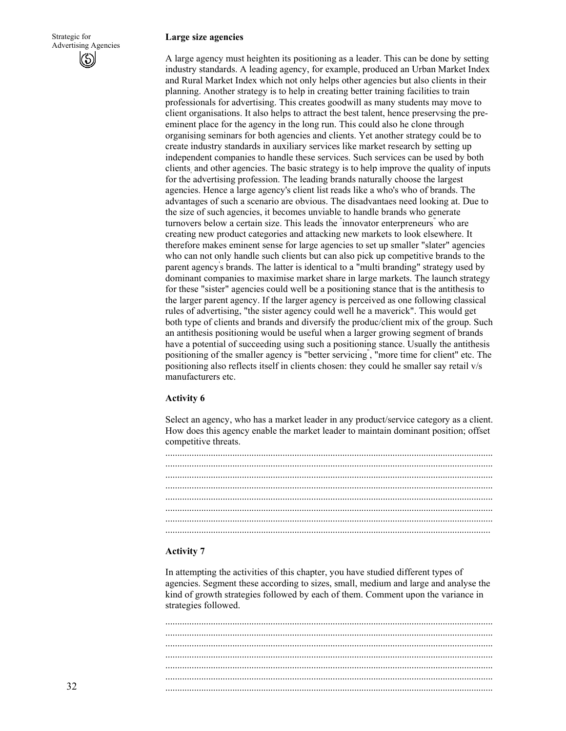#### **Large size agencies**

A large agency must heighten its positioning as a leader. This can be done by setting industry standards. A leading agency, for example, produced an Urban Market Index and Rural Market Index which not only helps other agencies but also clients in their planning. Another strategy is to help in creating better training facilities to train professionals for advertising. This creates goodwill as many students may move to client organisations. It also helps to attract the best talent, hence preservsing the preeminent place for the agency in the long run. This could also he clone through organising seminars for both agencies and clients. Yet another strategy could be to create industry standards in auxiliary services like market research by setting up independent companies to handle these services. Such services can be used by both clients, and other agencies. The basic strategy is to help improve the quality of inputs for the advertising profession. The leading brands naturally choose the largest agencies. Hence a large agency's client list reads like a who's who of brands. The advantages of such a scenario are obvious. The disadvantaes need looking at. Due to the size of such agencies, it becomes unviable to handle brands who generate turnovers below a certain size. This leads the " innovator enterpreneurs" who are creating new product categories and attacking new markets to look elsewhere. It therefore makes eminent sense for large agencies to set up smaller "slater" agencies who can not only handle such clients but can also pick up competitive brands to the parent agency' s brands. The latter is identical to a "multi branding" strategy used by dominant companies to maximise market share in large markets. The launch strategy for these "sister" agencies could well be a positioning stance that is the antithesis to the larger parent agency. If the larger agency is perceived as one following classical rules of advertising, "the sister agency could well he a maverick". This would get both type of clients and brands and diversify the produc/client mix of the group. Such an antithesis positioning would be useful when a larger growing segment of brands have a potential of succeeding using such a positioning stance. Usually the antithesis positioning of the smaller agency is "better servicing" , "more time for client" etc. The positioning also reflects itself in clients chosen: they could he smaller say retail v/s manufacturers etc.

#### **Activity 6**

Select an agency, who has a market leader in any product/service category as a client. How does this agency enable the market leader to maintain dominant position; offset competitive threats.

### **Activity 7**

In attempting the activities of this chapter, you have studied different types of agencies. Segment these according to sizes, small, medium and large and analyse the kind of growth strategies followed by each of them. Comment upon the variance in strategies followed.

......................................................................................................................................... ......................................................................................................................................... ......................................................................................................................................... ......................................................................................................................................... ......................................................................................................................................... ......................................................................................................................................... .........................................................................................................................................